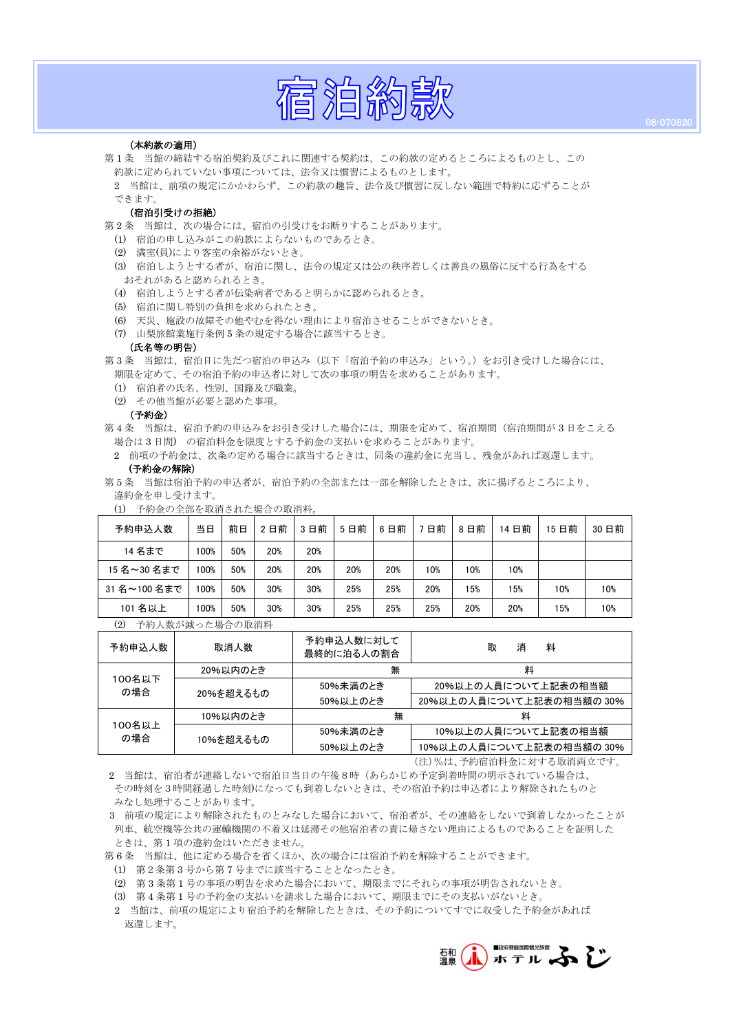# 宿泊約款

# (本約款の適用)

ś

第 1 条 当館の締結する宿泊契約及びこれに関連する契約は、この約款の定めるところによるものとし、この 約款に定められていない事項については、法令又は慣習によるものとします。

2 当館は、前項の規定にかかわらず、この約款の趣旨、法令及び慣習に反しない範囲で特約に応ずることが できます。

# (宿泊引受けの拒絶)

- 第 2 条 当館は、次の場合には、宿泊の引受けをお断りすることがあります。
	- (1) 宿泊の申し込みがこの約款によらないものであるとき。
	- (2) 満室(員)により客室の余裕がないとき。
	- (3) 宿泊しようとする者が、宿泊に関し、法令の規定又は公の秩序若しくは善良の風俗に反する行為をする おそれがあると認められるとき。
	- (4) 宿泊しようとする者が伝染病者であると明らかに認められるとき。
	- (5) 宿泊に関し特別の負担を求められたとき。
	- (6) 天災、施設の故障その他やむを得ない理由により宿泊させることができないとき。
	- (7) 山梨旅館業施行条例 5 条の規定する場合に該当するとき。

# (氏名等の明告)

第 3 条 当館は、宿泊日に先だつ宿泊の申込み(以下「宿泊予約の申込み」という。)をお引き受けした場合には、 期限を定めて、その宿泊予約の申込者に対して次の事項の明告を求めることがあります。

- (1) 宿泊者の氏名、性別、国籍及び職業。
- (2) その他当館が必要と認めた事項。

# (予約金)

第 4 条 当館は、宿泊予約の申込みをお引き受けした場合には、期限を定めて、宿泊期間(宿泊期間が 3 日をこえる 場合は 3 日間) の宿泊料金を限度とする予約金の支払いを求めることがあります。

2 前項の予約金は、次条の定める場合に該当するときは、同条の違約金に充当し、残金があれば返還します。

# (予約金の解除)

第 5 条 当館は宿泊予約の申込者が、宿泊予約の全部または一部を解除したときは、次に揚げるところにより、 違約金を申し受けます。

| 予約金の全部を取消された場合の取消料。<br>$\left(1\right)$ |      |     |     |     |     |     |     |     |       |       |      |
|-----------------------------------------|------|-----|-----|-----|-----|-----|-----|-----|-------|-------|------|
| 予約申込人数                                  | 当日   | 前日  | 2日前 | 3日前 | 5日前 | 6日前 | 7日前 | 8日前 | 14 日前 | 15 日前 | 30日前 |
| 14 名まで                                  | 100% | 50% | 20% | 20% |     |     |     |     |       |       |      |
| 15名~30名まで                               | 100% | 50% | 20% | 20% | 20% | 20% | 10% | 10% | 10%   |       |      |
| 31名~100名まで                              | 100% | 50% | 30% | 30% | 25% | 25% | 20% | 15% | 15%   | 10%   | 10%  |
| 101 名以上                                 | 100% | 50% | 30% | 30% | 25% | 25% | 25% | 20% | 20%   | 15%   | 10%  |

# (2) 予約人数が減った場合の取消料

| 予約申込人数        | 取消人数      | 予約申込人数に対して<br>最終的に泊る人の割合 | 消<br>料<br>取              |  |  |
|---------------|-----------|--------------------------|--------------------------|--|--|
| 100名以下<br>の場合 | 20%以内のとき  | 無                        | 料                        |  |  |
|               | 20%を超えるもの | 50%未満のとき                 | 20%以上の人員について上記表の相当額      |  |  |
|               |           | 50%以上のとき                 | 20%以上の人員について上記表の相当額の 30% |  |  |
| 100名以上<br>の場合 | 10%以内のとき  | 無                        | 料                        |  |  |
|               | 10%を超えるもの | 50%未満のとき                 | 10%以上の人員について上記表の相当額      |  |  |
|               |           | 50%以上のとき                 | 10%以上の人員について上記表の相当額の 30% |  |  |

(注)%は、予約宿泊料金に対する取消両立です。

2 当館は、宿泊者が連絡しないで宿泊日当日の午後8時(あらかじめ予定到着時間の明示されている場合は、 その時刻を3時間経過した時刻)になっても到着しないときは、その宿泊予約は申込者により解除されたものと みなし処理することがあります。

3 前項の規定により解除されたものとみなした場合において、宿泊者が、その連絡をしないで到着しなかったことが 列車、航空機等公共の運輸機関の不着又は延滞その他宿泊者の責に帰さない理由によるものであることを証明した ときは、第 1 項の違約金はいただきません。

第 6 条 当館は、他に定める場合を省くほか、次の場合には宿泊予約を解除することができます。

(1) 第2条第 3 号から第 7 号までに該当することとなったとき。

(2) 第 3 条第 1 号の事項の明告を求めた場合において、期限までにそれらの事項が明告されないとき。

- (3) 第 4 条第 1 号の予約金の支払いを請求した場合において、期限までにその支払いがないとき。
- 2 当館は、前項の規定により宿泊予約を解除したときは、その予約についてすでに収受した予約金があれば 返還します。

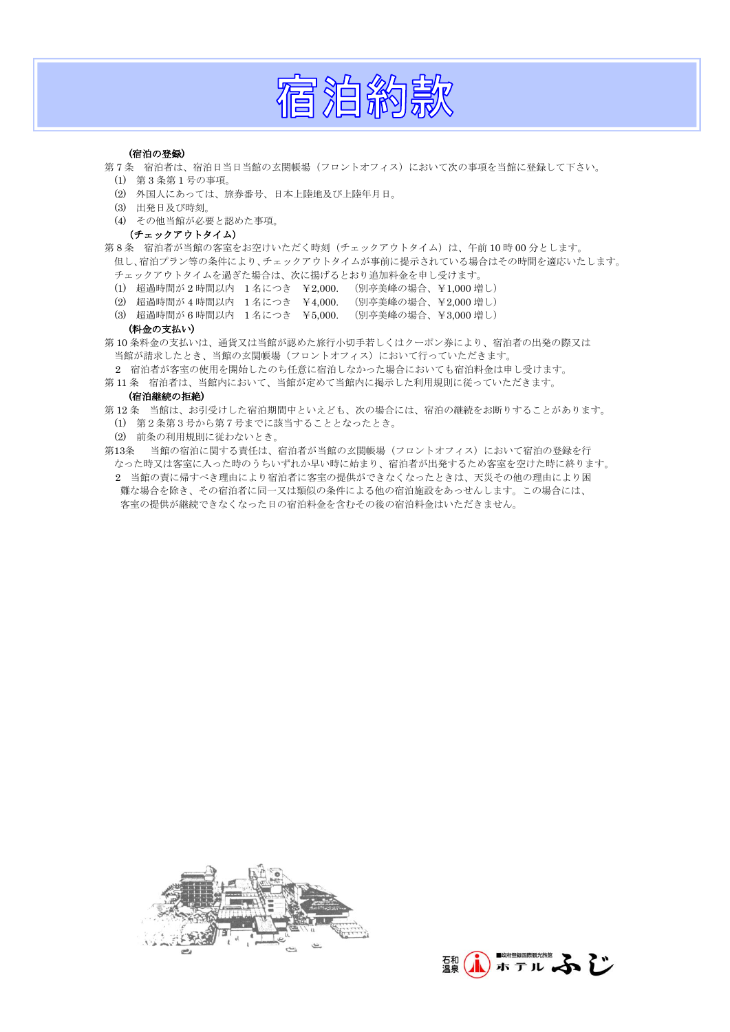

# (宿泊の登録)

- 第 7 条 宿泊者は、宿泊日当日当館の玄関帳場(フロントオフィス)において次の事項を当館に登録して下さい。
	- (1) 第 3 条第 1 号の事項。
	- (2) 外国人にあっては、旅券番号、日本上陸地及び上陸年月日。
	- (3) 出発日及び時刻。
	- (4) その他当館が必要と認めた事項。

# (チェックアウトタイム)

第8条 宿泊者が当館の客室をお空けいただく時刻(チェックアウトタイム)は、午前10時00分とします。 但し、宿泊プラン等の条件により、チェックアウトタイムが事前に提示されている場合はその時間を適応いたします。 チェックアウトタイムを過ぎた場合は、次に揚げるとおり追加料金を申し受けます。

- (1) 超過時間が 2 時間以内 1 名につき ¥2,000. (別亭美峰の場合、¥1,000 増し)
- 
- (2) 超過時間が 4 時間以内 1 名につき ¥4,000. (別亭美峰の場合、¥2,000 増し) (3) 超過時間が 6 時間以内 1 名につき ¥5,000.

# (料金の支払い)

第 10 条料金の支払いは、通貨又は当館が認めた旅行小切手若しくはクーポン券により、宿泊者の出発の際又は 当館が請求したとき、当館の玄関帳場(フロントオフィス)において行っていただきます。

2 宿泊者が客室の使用を開始したのち任意に宿泊しなかった場合においても宿泊料金は申し受けます。 第11条 宿泊者は、当館内において、当館が定めて当館内に掲示した利用規則に従っていただきます。

# (宿泊継続の拒絶)

- 第 12 条 当館は、お引受けした宿泊期間中といえども、次の場合には、宿泊の継続をお断りすることがあります。 (1) 第2条第3号から第7号までに該当することとなったとき。
	- (2) 前条の利用規則に従わないとき。
- 第13条 当館の宿泊に関する責任は、宿泊者が当館の玄関帳場(フロントオフィス)において宿泊の登録を行 なった時又は客室に入った時のうちいずれか早い時に始まり、宿泊者が出発するため客室を空けた時に終ります。 2 当館の責に帰すべき理由により宿泊者に客室の提供ができなくなったときは、天災その他の理由により困 難な場合を除き、その宿泊者に同一又は類似の条件による他の宿泊施設をあっせんします。この場合には、 客室の提供が継続できなくなった日の宿泊料金を含むその後の宿泊料金はいただきません。



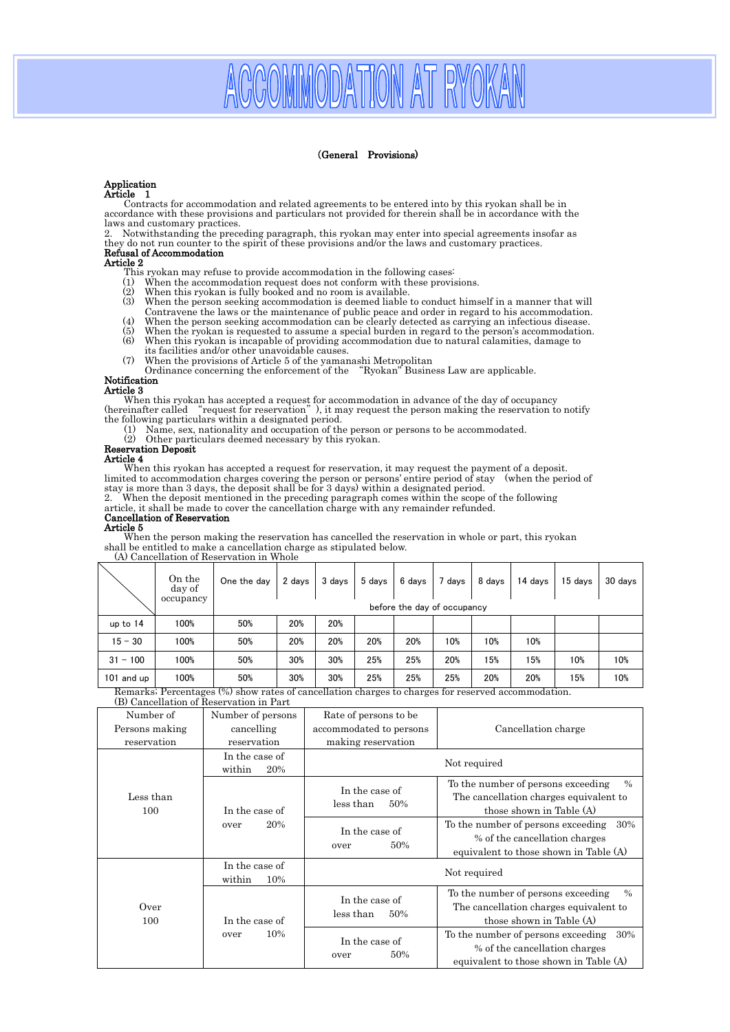# MODATION AT RY

# (General Provisions)

# Application

Article 1<br>Contracts for accommodation and related agreements to be entered into by this ryokan shall be in accordance with these provisions and particulars not provided for therein shall be in accordance with the laws and customary practices.

2. Notwithstanding the preceding paragraph, this ryokan may enter into special agreements insofar as they do not run counter to the spirit of these provisions and/or the laws and customary practices.

# Refusal of Accommodation

# Article 2

- This ryokan may refuse to provide accommodation in the following cases:<br>(1) When the accommodation request does not conform with these provi-
- (1) When the accommodation request does not conform with these provisions. (2) When this ryokan is fully booked and no room is available.
- 
- (3) When the person seeking accommodation is deemed liable to conduct himself in a manner that will Contravene the laws or the maintenance of public peace and order in regard to his accommodation.
- (4) When the person seeking accommodation can be clearly detected as carrying an infectious disease.
- (5) When the ryokan is requested to assume a special burden in regard to the person's accommodation.<br>(6) When this ryokan is incapable of providing accommodation due to natural calamities, damage to When this ryokan is incapable of providing accommodation due to natural calamities, damage to When this ryokan is incapable of providing accommodation due to natural calamities, damage to
- its facilities and/or other unavoidable causes.
- 

(7) When the provisions of Article 5 of the yamanashi Metropolitan Ordinance concerning the enforcement of the

# Notification

Article 3

When this ryokan has accepted a request for accommodation in advance of the day of occupancy<br>(hereinafter called "request for reservation"), it may request the person making the reservation to notify (hereinafter called "request for reservation"), it m<br>the following particulars within a designated period.

- (1) Name, sex, nationality and occupation of the person or persons to be accommodated.
- (2) Other particulars deemed necessary by this ryokan.

# Reservation Deposit

# Article 4

 When this ryokan has accepted a request for reservation, it may request the payment of a deposit. limited to accommodation charges covering the person or persons' entire period of stay (when the period of stay is more than 3 days, the deposit shall be for 3 days) within a designated period.

2. When the deposit mentioned in the preceding paragraph comes within the scope of the following

article, it shall be made to cover the cancellation charge with any remainder refunded.

# Cancellation of Reservation Article 5

 When the person making the reservation has cancelled the reservation in whole or part, this ryokan shall be entitled to make a cancellation charge as stipulated below. (A) Cancellation of Reservation in Whole

|                                        | On the<br>day of                    | One the day       | 2 days                | 3 days                     | 5 days | 6 days                      | 7 days        | 8 days   | 14 days                         | 15 days | 30 days |
|----------------------------------------|-------------------------------------|-------------------|-----------------------|----------------------------|--------|-----------------------------|---------------|----------|---------------------------------|---------|---------|
|                                        | occupancy                           |                   |                       |                            |        | before the day of occupancy |               |          |                                 |         |         |
| up to $14$                             | 100%                                | 50%               | 20%                   | 20%                        |        |                             |               |          |                                 |         |         |
| $15 - 30$                              | 100%                                | 50%               | 20%                   | 20%                        | 20%    | 20%                         | 10%           | 10%      | 10%                             |         |         |
| $31 - 100$                             | 100%                                | 50%               | 30%                   | 30%                        | 25%    | 25%                         | 20%           | 15%      | 15%                             | 10%     | 10%     |
| 101 and up<br>$\overline{\phantom{a}}$ | 100%<br>$\mathbf{r}$ . $\mathbf{r}$ | 50%<br>$\sqrt{2}$ | 30%<br>$\overline{a}$ | 30%<br>$\overline{\cdots}$ | 25%    | 25%                         | 25%<br>$\sim$ | 20%<br>- | 20%<br>$\overline{\phantom{a}}$ | 15%     | 10%     |

Remarks; Percentages (%) show rates of cancellation charges to charges for reserved accommodation.

| (B) Cancellation of Reservation in Part |  |
|-----------------------------------------|--|
|-----------------------------------------|--|

| Number of        | Number of persons               | Rate of persons to be              |                                                                                                                           |  |  |  |
|------------------|---------------------------------|------------------------------------|---------------------------------------------------------------------------------------------------------------------------|--|--|--|
| Persons making   | cancelling                      | accommodated to persons            | Cancellation charge                                                                                                       |  |  |  |
| reservation      | reservation                     | making reservation                 |                                                                                                                           |  |  |  |
|                  | In the case of                  |                                    | Not required                                                                                                              |  |  |  |
|                  | within<br>20%                   |                                    |                                                                                                                           |  |  |  |
| Less than<br>100 | In the case of                  | In the case of<br>less than<br>50% | To the number of persons exceeding<br>$\%$<br>The cancellation charges equivalent to<br>those shown in Table (A)          |  |  |  |
|                  | 20%<br>over                     | In the case of<br>50%<br>over      | To the number of persons exceeding<br>30%<br>% of the cancellation charges<br>equivalent to those shown in Table (A)      |  |  |  |
|                  | In the case of<br>within<br>10% | Not required                       |                                                                                                                           |  |  |  |
| Over<br>100      | In the case of                  | In the case of<br>less than<br>50% | To the number of persons exceeding<br>$\frac{0}{0}$<br>The cancellation charges equivalent to<br>those shown in Table (A) |  |  |  |
|                  | 10%<br>over                     | In the case of<br>50%<br>over      | To the number of persons exceeding<br>30%<br>% of the cancellation charges<br>equivalent to those shown in Table (A)      |  |  |  |